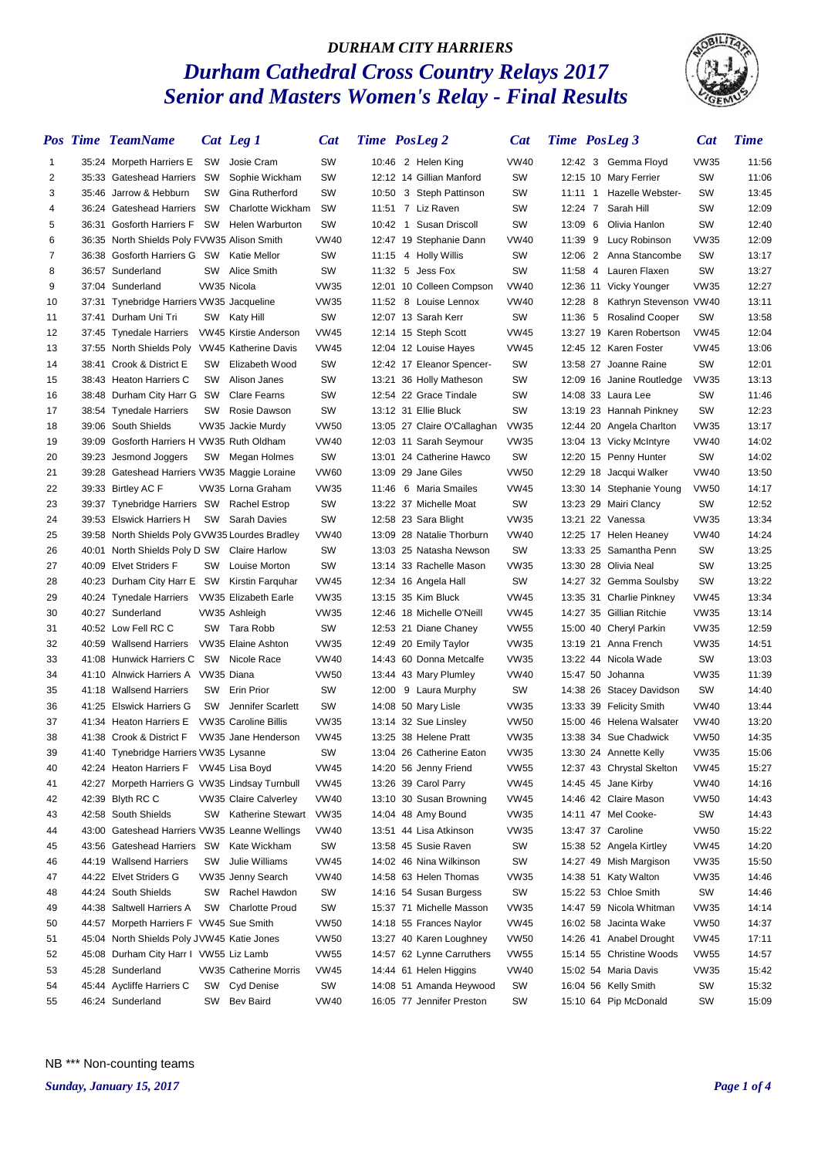#### *DURHAM CITY HARRIERS Durham Cathedral Cross Country Relays 2017 Senior and Masters Women's Relay - Final Results*



|    | <b>Pos Time TeamName</b>                       |           | Cat Leg 1                    | <b>Cat</b>  |           | <b>Time</b> PosLeg 2        | <b>Cat</b>  | <b>Time</b> PosLeg 3 |                           | <b>Cat</b>  | <b>Time</b> |
|----|------------------------------------------------|-----------|------------------------------|-------------|-----------|-----------------------------|-------------|----------------------|---------------------------|-------------|-------------|
| 1  | 35:24 Morpeth Harriers E                       | sw        | Josie Cram                   | SW          |           | 10:46 2 Helen King          | <b>VW40</b> |                      | 12:42 3 Gemma Floyd       | <b>VW35</b> | 11:56       |
| 2  | 35:33 Gateshead Harriers SW                    |           | Sophie Wickham               | SW          |           | 12:12 14 Gillian Manford    | SW          |                      | 12:15 10 Mary Ferrier     | SW          | 11:06       |
| 3  | 35:46 Jarrow & Hebburn                         | <b>SW</b> | Gina Rutherford              | SW          | 10:50     | 3 Steph Pattinson           | SW          | 11:11 1              | Hazelle Webster-          | SW          | 13:45       |
| 4  | 36:24 Gateshead Harriers                       | sw        | Charlotte Wickham            | <b>SW</b>   |           | 11:51 7 Liz Raven           | SW          | 12:24 7              | Sarah Hill                | SW          | 12:09       |
| 5  | 36:31 Gosforth Harriers F SW                   |           | <b>Helen Warburton</b>       | SW          | $10:42$ 1 | Susan Driscoll              | SW          | 13:09 6              | Olivia Hanlon             | SW          | 12:40       |
| 6  | 36:35 North Shields Poly FVW35 Alison Smith    |           |                              | <b>VW40</b> |           | 12:47 19 Stephanie Dann     | <b>VW40</b> | 11:39 9              | Lucy Robinson             | VW35        | 12:09       |
| 7  | 36:38 Gosforth Harriers G SW                   |           | Katie Mellor                 | SW          |           | 11:15 4 Holly Willis        | SW          | $12:06$ 2            | Anna Stancombe            | SW          | 13:17       |
| 8  | 36:57 Sunderland                               | SW        | Alice Smith                  | SW          |           | 11:32 5 Jess Fox            | SW          | 11:58 4              | Lauren Flaxen             | SW          | 13:27       |
| 9  | 37:04 Sunderland                               |           | VW35 Nicola                  | <b>VW35</b> |           | 12:01 10 Colleen Compson    | <b>VW40</b> |                      | 12:36 11 Vicky Younger    | <b>VW35</b> | 12:27       |
| 10 | 37:31 Tynebridge Harriers VW35 Jacqueline      |           |                              | <b>VW35</b> |           | 11:52 8 Louise Lennox       | <b>VW40</b> | $12:28$ 8            | Kathryn Stevenson VW40    |             | 13:11       |
| 11 | 37:41 Durham Uni Tri                           | SW        | Katy Hill                    | SW          |           | 12:07 13 Sarah Kerr         | SW          | 11:36 5              | <b>Rosalind Cooper</b>    | SW          | 13:58       |
| 12 | 37:45 Tynedale Harriers                        |           | <b>VW45 Kirstie Anderson</b> | <b>VW45</b> |           | 12:14 15 Steph Scott        | <b>VW45</b> |                      | 13:27 19 Karen Robertson  | <b>VW45</b> | 12:04       |
| 13 | 37:55 North Shields Poly                       |           | VW45 Katherine Davis         | <b>VW45</b> |           | 12:04 12 Louise Hayes       | <b>VW45</b> |                      | 12:45 12 Karen Foster     | <b>VW45</b> | 13:06       |
| 14 | 38:41 Crook & District E                       | SW        | Elizabeth Wood               | SW          |           | 12:42 17 Eleanor Spencer-   | SW          |                      | 13:58 27 Joanne Raine     | SW          | 12:01       |
| 15 | 38:43 Heaton Harriers C                        | SW        | Alison Janes                 | SW          |           | 13:21 36 Holly Matheson     | SW          |                      | 12:09 16 Janine Routledge | <b>VW35</b> | 13:13       |
| 16 | 38:48 Durham City Harr G SW                    |           | <b>Clare Fearns</b>          | SW          |           | 12:54 22 Grace Tindale      | SW          |                      | 14:08 33 Laura Lee        | <b>SW</b>   | 11:46       |
| 17 | 38:54 Tynedale Harriers                        | sw        | Rosie Dawson                 | SW          |           | 13:12 31 Ellie Bluck        | SW          |                      | 13:19 23 Hannah Pinkney   | SW          | 12:23       |
| 18 | 39:06 South Shields                            |           | VW35 Jackie Murdy            | <b>VW50</b> |           | 13:05 27 Claire O'Callaghan | <b>VW35</b> |                      | 12:44 20 Angela Charlton  | <b>VW35</b> | 13:17       |
| 19 | 39:09 Gosforth Harriers H VW35 Ruth Oldham     |           |                              | <b>VW40</b> |           | 12:03 11 Sarah Seymour      | <b>VW35</b> |                      | 13:04 13 Vicky McIntyre   | <b>VW40</b> | 14:02       |
| 20 | 39:23 Jesmond Joggers                          | SW        | Megan Holmes                 | SW          | 13:01     | 24 Catherine Hawco          | SW          |                      | 12:20 15 Penny Hunter     | <b>SW</b>   | 14:02       |
| 21 | 39:28 Gateshead Harriers VW35 Maggie Loraine   |           |                              | <b>VW60</b> |           | 13:09 29 Jane Giles         | <b>VW50</b> |                      | 12:29 18 Jacqui Walker    | <b>VW40</b> | 13:50       |
| 22 | 39:33 Birtley AC F                             |           | VW35 Lorna Graham            | <b>VW35</b> | 11:46     | 6 Maria Smailes             | <b>VW45</b> |                      | 13:30 14 Stephanie Young  | <b>VW50</b> | 14:17       |
| 23 | 39:37 Tynebridge Harriers SW                   |           | Rachel Estrop                | SW          |           | 13:22 37 Michelle Moat      | SW          |                      | 13:23 29 Mairi Clancy     | SW          | 12:52       |
| 24 | 39:53 Elswick Harriers H                       | SW        | <b>Sarah Davies</b>          | SW          |           | 12:58 23 Sara Blight        | <b>VW35</b> |                      | 13:21 22 Vanessa          | <b>VW35</b> | 13:34       |
| 25 | 39:58 North Shields Poly GVW35 Lourdes Bradley |           |                              | VW40        |           | 13:09 28 Natalie Thorburn   | <b>VW40</b> |                      | 12:25 17 Helen Heaney     | <b>VW40</b> | 14:24       |
| 26 | 40:01 North Shields Poly D SW Claire Harlow    |           |                              | SW          |           | 13:03 25 Natasha Newson     | SW          |                      | 13:33 25 Samantha Penn    | SW          | 13:25       |
| 27 | 40:09 Elvet Striders F                         | SW        | Louise Morton                | SW          |           | 13:14 33 Rachelle Mason     | <b>VW35</b> |                      | 13:30 28 Olivia Neal      | SW          | 13:25       |
| 28 | 40:23 Durham City Harr E SW                    |           | Kirstin Farguhar             | <b>VW45</b> |           | 12:34 16 Angela Hall        | SW          |                      | 14:27 32 Gemma Soulsby    | SW          | 13:22       |
| 29 | 40:24 Tynedale Harriers                        |           | <b>VW35 Elizabeth Earle</b>  | <b>VW35</b> |           | 13:15 35 Kim Bluck          | <b>VW45</b> |                      | 13:35 31 Charlie Pinkney  | VW45        | 13:34       |
| 30 | 40:27 Sunderland                               |           | VW35 Ashleigh                | <b>VW35</b> |           | 12:46 18 Michelle O'Neill   | <b>VW45</b> |                      | 14:27 35 Gillian Ritchie  | <b>VW35</b> | 13:14       |
| 31 | 40:52 Low Fell RC C                            | SW        | Tara Robb                    | SW          |           | 12:53 21 Diane Chaney       | <b>VW55</b> |                      | 15:00 40 Cheryl Parkin    | <b>VW35</b> | 12:59       |
| 32 | 40:59 Wallsend Harriers                        |           | VW35 Elaine Ashton           | <b>VW35</b> |           | 12:49 20 Emily Taylor       | <b>VW35</b> |                      | 13:19 21 Anna French      | <b>VW35</b> | 14:51       |
| 33 | 41:08 Hunwick Harriers C                       | SW        | Nicole Race                  | <b>VW40</b> |           | 14:43 60 Donna Metcalfe     | <b>VW35</b> |                      | 13:22 44 Nicola Wade      | SW          | 13:03       |
| 34 | 41:10 Alnwick Harriers A VW35 Diana            |           |                              | <b>VW50</b> |           | 13:44 43 Mary Plumley       | <b>VW40</b> |                      | 15:47 50 Johanna          | <b>VW35</b> | 11:39       |
| 35 | 41:18 Wallsend Harriers                        | SW        | <b>Erin Prior</b>            | SW          | 12:00     | 9 Laura Murphy              | SW          |                      | 14:38 26 Stacey Davidson  | SW          | 14:40       |
| 36 | 41:25 Elswick Harriers G                       | SW        | Jennifer Scarlett            | SW          |           | 14:08 50 Mary Lisle         | <b>VW35</b> |                      | 13:33 39 Felicity Smith   | <b>VW40</b> | 13:44       |
| 37 | 41:34 Heaton Harriers E                        |           | <b>VW35 Caroline Billis</b>  | <b>VW35</b> | 13:14     | 32 Sue Linsley              | <b>VW50</b> |                      | 15:00 46 Helena Walsater  | <b>VW40</b> | 13:20       |
| 38 | 41:38 Crook & District F                       |           | VW35 Jane Henderson          | <b>VW45</b> |           | 13:25 38 Helene Pratt       | <b>VW35</b> |                      | 13:38 34 Sue Chadwick     | <b>VW50</b> | 14:35       |
| 39 | 41:40 Tynebridge Harriers VW35 Lysanne         |           |                              | SW          |           | 13:04 26 Catherine Eaton    | <b>VW35</b> |                      | 13:30 24 Annette Kelly    | <b>VW35</b> | 15:06       |
| 40 | 42:24 Heaton Harriers F VW45 Lisa Boyd         |           |                              | <b>VW45</b> |           | 14:20 56 Jenny Friend       | <b>VW55</b> |                      | 12:37 43 Chrystal Skelton | <b>VW45</b> | 15:27       |
| 41 | 42:27 Morpeth Harriers G VW35 Lindsay Turnbull |           |                              | <b>VW45</b> |           | 13:26 39 Carol Parry        | <b>VW45</b> |                      | 14:45 45 Jane Kirby       | <b>VW40</b> | 14:16       |
| 42 | 42:39 Blyth RC C                               |           | <b>VW35 Claire Calverley</b> | <b>VW40</b> |           | 13:10 30 Susan Browning     | <b>VW45</b> |                      | 14:46 42 Claire Mason     | <b>VW50</b> | 14:43       |
| 43 | 42:58 South Shields                            | SW        | <b>Katherine Stewart</b>     | <b>VW35</b> |           | 14:04 48 Amy Bound          | <b>VW35</b> |                      | 14:11 47 Mel Cooke-       | SW          | 14:43       |
| 44 | 43:00 Gateshead Harriers VW35 Leanne Wellings  |           |                              | <b>VW40</b> |           | 13:51 44 Lisa Atkinson      | <b>VW35</b> |                      | 13:47 37 Caroline         | <b>VW50</b> | 15:22       |
| 45 | 43:56 Gateshead Harriers SW                    |           | Kate Wickham                 | SW          |           | 13:58 45 Susie Raven        | SW          |                      | 15:38 52 Angela Kirtley   | <b>VW45</b> | 14:20       |
| 46 | 44:19 Wallsend Harriers                        | SW        | Julie Williams               | <b>VW45</b> |           | 14:02 46 Nina Wilkinson     | SW          |                      | 14:27 49 Mish Margison    | <b>VW35</b> | 15:50       |
| 47 | 44:22 Elvet Striders G                         |           | VW35 Jenny Search            | <b>VW40</b> |           | 14:58 63 Helen Thomas       | <b>VW35</b> |                      | 14:38 51 Katy Walton      | <b>VW35</b> | 14:46       |
| 48 | 44:24 South Shields                            | SW        | Rachel Hawdon                | SW          |           | 14:16 54 Susan Burgess      | SW          |                      | 15:22 53 Chloe Smith      | SW          | 14:46       |
| 49 | 44:38 Saltwell Harriers A                      | SW        | <b>Charlotte Proud</b>       | SW          |           | 15:37 71 Michelle Masson    | <b>VW35</b> |                      | 14:47 59 Nicola Whitman   | <b>VW35</b> | 14:14       |
| 50 | 44:57 Morpeth Harriers F VW45 Sue Smith        |           |                              | <b>VW50</b> |           | 14:18 55 Frances Naylor     | <b>VW45</b> |                      | 16:02 58 Jacinta Wake     | <b>VW50</b> | 14:37       |
| 51 | 45:04 North Shields Poly JVW45 Katie Jones     |           |                              | <b>VW50</b> |           | 13:27 40 Karen Loughney     | <b>VW50</b> |                      | 14:26 41 Anabel Drought   | <b>VW45</b> | 17:11       |
| 52 | 45:08 Durham City Harr I VW55 Liz Lamb         |           |                              | <b>VW55</b> |           | 14:57 62 Lynne Carruthers   | <b>VW55</b> |                      | 15:14 55 Christine Woods  | <b>VW55</b> | 14:57       |
| 53 | 45:28 Sunderland                               |           | <b>VW35 Catherine Morris</b> | <b>VW45</b> |           | 14:44 61 Helen Higgins      | <b>VW40</b> |                      | 15:02 54 Maria Davis      | <b>VW35</b> | 15:42       |
| 54 | 45:44 Aycliffe Harriers C                      | SW        | Cyd Denise                   | SW          |           | 14:08 51 Amanda Heywood     | SW          |                      | 16:04 56 Kelly Smith      | SW          | 15:32       |
| 55 | 46:24 Sunderland                               | SW        | <b>Bev Baird</b>             | <b>VW40</b> |           | 16:05 77 Jennifer Preston   | SW          |                      | 15:10 64 Pip McDonald     | SW          | 15:09       |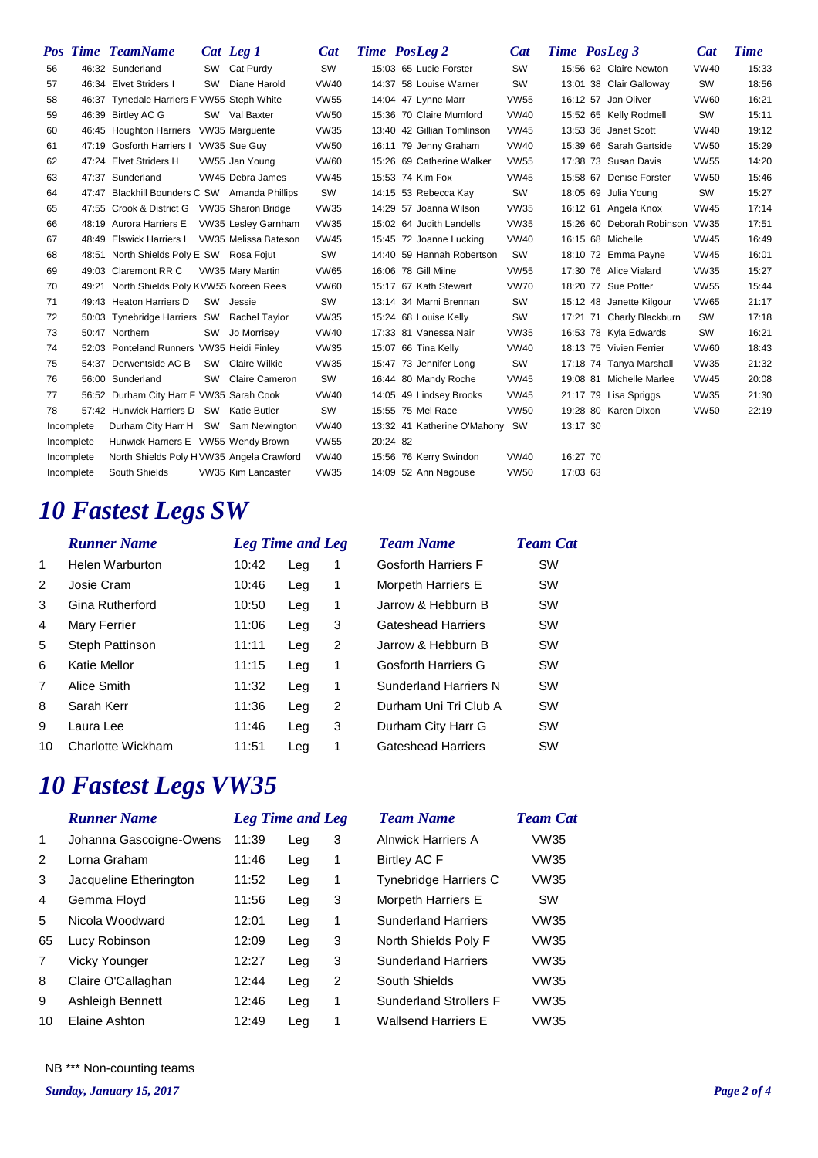|    |            | <b>Pos Time TeamName</b>                    |    | Cat Leg 1                  | Cat         |          | Time PosLeg 2                  | Cat         | <b>Time</b> PosLeg 3 |                           | Cat         | <b>Time</b> |
|----|------------|---------------------------------------------|----|----------------------------|-------------|----------|--------------------------------|-------------|----------------------|---------------------------|-------------|-------------|
| 56 |            | 46:32 Sunderland                            |    | SW Cat Purdy               | <b>SW</b>   |          | 15:03 65 Lucie Forster         | SW          |                      | 15:56 62 Claire Newton    | <b>VW40</b> | 15:33       |
| 57 |            | 46:34 Elvet Striders I                      | SW | Diane Harold               | <b>VW40</b> |          | 14:37 58 Louise Warner         | <b>SW</b>   |                      | 13:01 38 Clair Galloway   | <b>SW</b>   | 18:56       |
| 58 |            | 46:37 Tynedale Harriers F VW55 Steph White  |    |                            | <b>VW55</b> |          | 14:04 47 Lynne Marr            | <b>VW55</b> |                      | 16:12 57 Jan Oliver       | <b>VW60</b> | 16:21       |
| 59 |            | 46:39 Birtley AC G                          |    | SW Val Baxter              | <b>VW50</b> |          | 15:36 70 Claire Mumford        | <b>VW40</b> |                      | 15:52 65 Kelly Rodmell    | <b>SW</b>   | 15:11       |
| 60 |            | 46:45 Houghton Harriers                     |    | VW35 Marguerite            | <b>VW35</b> |          | 13:40 42 Gillian Tomlinson     | <b>VW45</b> |                      | 13:53 36 Janet Scott      | <b>VW40</b> | 19:12       |
| 61 |            | 47:19 Gosforth Harriers I                   |    | VW35 Sue Guy               | <b>VW50</b> |          | 16:11 79 Jenny Graham          | <b>VW40</b> |                      | 15:39 66 Sarah Gartside   | <b>VW50</b> | 15:29       |
| 62 |            | 47:24 Elvet Striders H                      |    | VW55 Jan Young             | <b>VW60</b> |          | 15:26 69 Catherine Walker      | <b>VW55</b> |                      | 17:38 73 Susan Davis      | <b>VW55</b> | 14:20       |
| 63 |            | 47:37 Sunderland                            |    | VW45 Debra James           | <b>VW45</b> |          | 15:53 74 Kim Fox               | <b>VW45</b> |                      | 15:58 67 Denise Forster   | <b>VW50</b> | 15:46       |
| 64 | 47:47      | Blackhill Bounders C SW Amanda Phillips     |    |                            | SW          |          | 14:15 53 Rebecca Kay           | <b>SW</b>   |                      | 18:05 69 Julia Young      | <b>SW</b>   | 15:27       |
| 65 |            | 47:55 Crook & District G VW35 Sharon Bridge |    |                            | <b>VW35</b> |          | 14:29 57 Joanna Wilson         | <b>VW35</b> |                      | 16:12 61 Angela Knox      | <b>VW45</b> | 17:14       |
| 66 |            | 48:19 Aurora Harriers E                     |    | <b>VW35 Lesley Garnham</b> | <b>VW35</b> |          | 15:02 64 Judith Landells       | <b>VW35</b> |                      | 15:26 60 Deborah Robinson | <b>VW35</b> | 17:51       |
| 67 |            | 48:49 Elswick Harriers I                    |    | VW35 Melissa Bateson       | <b>VW45</b> |          | 15:45 72 Joanne Lucking        | <b>VW40</b> |                      | 16:15 68 Michelle         | <b>VW45</b> | 16:49       |
| 68 |            | 48:51 North Shields Poly E SW Rosa Fojut    |    |                            | <b>SW</b>   |          | 14:40 59 Hannah Robertson      | SW          |                      | 18:10 72 Emma Payne       | <b>VW45</b> | 16:01       |
| 69 |            | 49:03 Claremont RR C                        |    | VW35 Mary Martin           | <b>VW65</b> |          | 16:06 78 Gill Milne            | <b>VW55</b> |                      | 17:30 76 Alice Vialard    | <b>VW35</b> | 15:27       |
| 70 |            | 49:21 North Shields Poly KVW55 Noreen Rees  |    |                            | <b>VW60</b> |          | 15:17 67 Kath Stewart          | <b>VW70</b> |                      | 18:20 77 Sue Potter       | <b>VW55</b> | 15:44       |
| 71 |            | 49:43 Heaton Harriers D                     | SW | Jessie                     | <b>SW</b>   |          | 13:14 34 Marni Brennan         | <b>SW</b>   |                      | 15:12 48 Janette Kilgour  | <b>VW65</b> | 21:17       |
| 72 |            | 50:03 Tynebridge Harriers SW                |    | Rachel Taylor              | <b>VW35</b> |          | 15:24 68 Louise Kelly          | <b>SW</b>   |                      | 17:21 71 Charly Blackburn | <b>SW</b>   | 17:18       |
| 73 |            | 50:47 Northern                              | SW | Jo Morrisey                | <b>VW40</b> |          | 17:33 81 Vanessa Nair          | <b>VW35</b> |                      | 16:53 78 Kyla Edwards     | SW          | 16:21       |
| 74 |            | 52:03 Ponteland Runners VW35 Heidi Finley   |    |                            | <b>VW35</b> |          | 15:07 66 Tina Kelly            | <b>VW40</b> |                      | 18:13 75 Vivien Ferrier   | <b>VW60</b> | 18:43       |
| 75 |            | 54:37 Derwentside AC B                      | SW | Claire Wilkie              | <b>VW35</b> |          | 15:47 73 Jennifer Long         | <b>SW</b>   |                      | 17:18 74 Tanya Marshall   | <b>VW35</b> | 21:32       |
| 76 |            | 56:00 Sunderland                            | SW | Claire Cameron             | SW          |          | 16:44 80 Mandy Roche           | <b>VW45</b> |                      | 19:08 81 Michelle Marlee  | <b>VW45</b> | 20:08       |
| 77 |            | 56:52 Durham City Harr F VW35 Sarah Cook    |    |                            | <b>VW40</b> |          | 14:05 49 Lindsey Brooks        | <b>VW45</b> |                      | 21:17 79 Lisa Spriggs     | <b>VW35</b> | 21:30       |
| 78 |            | 57:42 Hunwick Harriers D                    | SW | Katie Butler               | SW          |          | 15:55 75 Mel Race              | <b>VW50</b> |                      | 19:28 80 Karen Dixon      | <b>VW50</b> | 22:19       |
|    | Incomplete | Durham City Harr H                          |    | SW Sam Newington           | <b>VW40</b> |          | 13:32 41 Katherine O'Mahony SW |             | 13:17 30             |                           |             |             |
|    | Incomplete | Hunwick Harriers E VW55 Wendy Brown         |    |                            | <b>VW55</b> | 20:24 82 |                                |             |                      |                           |             |             |
|    | Incomplete | North Shields Poly HVW35 Angela Crawford    |    |                            | <b>VW40</b> |          | 15:56 76 Kerry Swindon         | <b>VW40</b> | 16:27 70             |                           |             |             |
|    | Incomplete | South Shields                               |    | VW35 Kim Lancaster         | <b>VW35</b> |          | 14:09 52 Ann Nagouse           | <b>VW50</b> | 17:03 63             |                           |             |             |

## *10 Fastest Legs SW*

|                | <b>Runner Name</b>     | <b>Leg Time and Leg</b> |     |   | <b>Team Name</b>             | <b>Team</b> C |  |  |
|----------------|------------------------|-------------------------|-----|---|------------------------------|---------------|--|--|
| $\mathbf{1}$   | <b>Helen Warburton</b> | 10:42                   | Leg | 1 | <b>Gosforth Harriers F</b>   | <b>SW</b>     |  |  |
| $\overline{2}$ | Josie Cram             | 10:46                   | Leg | 1 | Morpeth Harriers E           | <b>SW</b>     |  |  |
| 3              | Gina Rutherford        | 10:50                   | Leg | 1 | Jarrow & Hebburn B           | <b>SW</b>     |  |  |
| 4              | <b>Mary Ferrier</b>    | 11:06                   | Leg | 3 | <b>Gateshead Harriers</b>    | <b>SW</b>     |  |  |
| 5              | <b>Steph Pattinson</b> | 11:11                   | Leg | 2 | Jarrow & Hebburn B           | <b>SW</b>     |  |  |
| 6              | Katie Mellor           | 11:15                   | Leg | 1 | <b>Gosforth Harriers G</b>   | <b>SW</b>     |  |  |
| $\overline{7}$ | Alice Smith            | 11:32                   | Leg | 1 | <b>Sunderland Harriers N</b> | <b>SW</b>     |  |  |
| 8              | Sarah Kerr             | 11:36                   | Leg | 2 | Durham Uni Tri Club A        | <b>SW</b>     |  |  |
| 9              | Laura Lee              | 11:46                   | Leg | 3 | Durham City Harr G           | <b>SW</b>     |  |  |
| 10             | Charlotte Wickham      | 11:51                   | Leg | 1 | Gateshead Harriers           | <b>SW</b>     |  |  |
|                |                        |                         |     |   |                              |               |  |  |

#### *Team Name Team Cat*

| <b>Gosforth Harriers F</b> | SW        |
|----------------------------|-----------|
| Morpeth Harriers E         | SW        |
| Jarrow & Hebburn B         | SW        |
| <b>Gateshead Harriers</b>  | <b>SW</b> |
| Jarrow & Hebburn B         | <b>SW</b> |
| <b>Gosforth Harriers G</b> | <b>SW</b> |
| Sunderland Harriers N      | SW        |
| Durham Uni Tri Club A      | <b>SW</b> |
| Durham City Harr G         | <b>SW</b> |
| Gateshead Harriers         | SW.       |

## *10 Fastest Legs VW35*

|    | <b>Runner Name</b>      | <b>Leg Time and Leg</b> |     |   | <b>Team Name</b>              | <b>Team Cat</b> |  |
|----|-------------------------|-------------------------|-----|---|-------------------------------|-----------------|--|
| 1. | Johanna Gascoigne-Owens | 11:39                   | Leg | 3 | <b>Alnwick Harriers A</b>     | VW35            |  |
| 2  | Lorna Graham            | 11:46                   | Leg | 1 | <b>Birtley AC F</b>           | <b>VW35</b>     |  |
| 3  | Jacqueline Etherington  | 11:52                   | Leg | 1 | Tynebridge Harriers C         | <b>VW35</b>     |  |
| 4  | Gemma Floyd             | 11:56                   | Leg | 3 | Morpeth Harriers E            | <b>SW</b>       |  |
| 5  | Nicola Woodward         | 12:01                   | Leg | 1 | <b>Sunderland Harriers</b>    | <b>VW35</b>     |  |
| 65 | Lucy Robinson           | 12:09                   | Leg | 3 | North Shields Poly F          | <b>VW35</b>     |  |
| 7  | Vicky Younger           | 12:27                   | Leg | 3 | <b>Sunderland Harriers</b>    | <b>VW35</b>     |  |
| 8  | Claire O'Callaghan      | 12:44                   | Leg | 2 | South Shields                 | <b>VW35</b>     |  |
| 9  | <b>Ashleigh Bennett</b> | 12:46                   | Leg | 1 | <b>Sunderland Strollers F</b> | <b>VW35</b>     |  |
| 10 | Elaine Ashton           | 12:49                   | Leg |   | <b>Wallsend Harriers E</b>    | <b>VW35</b>     |  |

NB \*\*\* Non-counting teams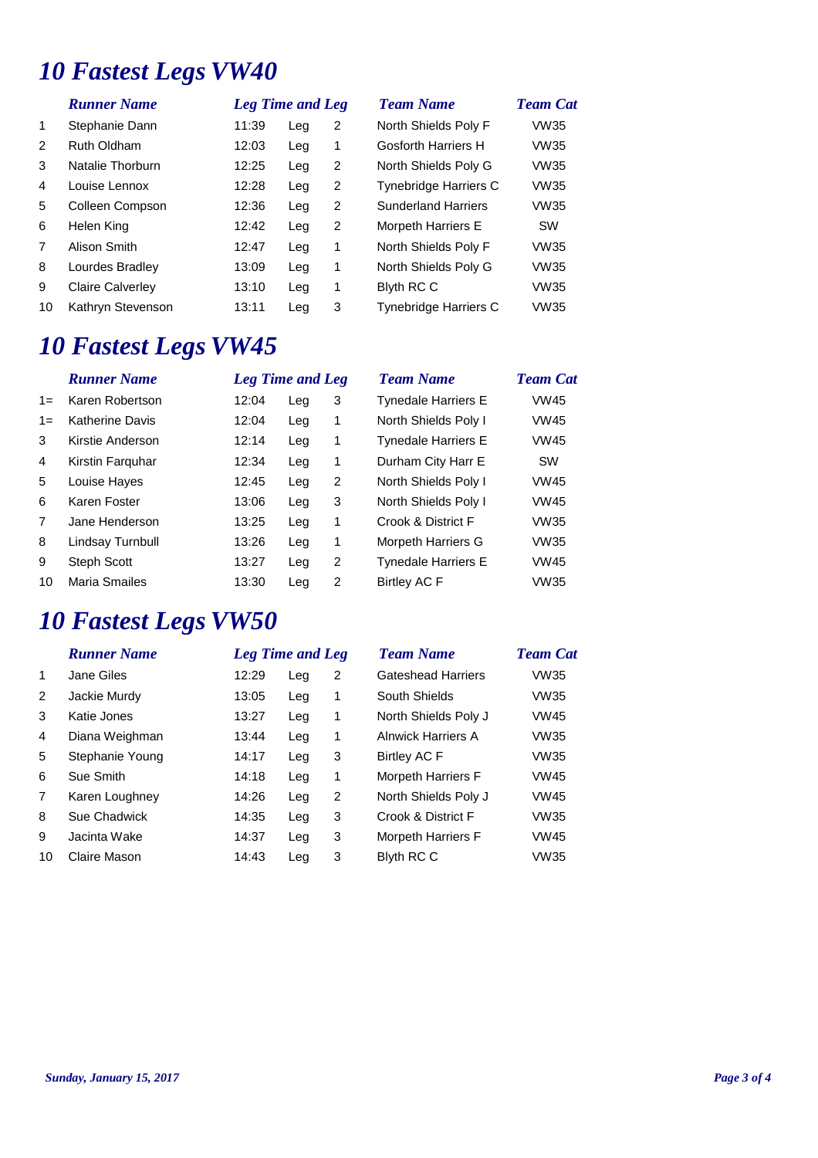# *10 Fastest Legs VW40*

|                | <b>Runner Name</b>      | <b>Leg Time and Leg</b> |     |   | <b>Team Name</b>             | <b>Team Cat</b> |  |
|----------------|-------------------------|-------------------------|-----|---|------------------------------|-----------------|--|
| $\mathbf 1$    | Stephanie Dann          | 11:39                   | Leg | 2 | North Shields Poly F         | <b>VW35</b>     |  |
| 2              | Ruth Oldham             | 12:03                   | Leg | 1 | Gosforth Harriers H          | <b>VW35</b>     |  |
| 3              | Natalie Thorburn        | 12:25                   | Leg | 2 | North Shields Poly G         | <b>VW35</b>     |  |
| 4              | Louise Lennox           | 12:28                   | Leg | 2 | <b>Tynebridge Harriers C</b> | <b>VW35</b>     |  |
| 5              | Colleen Compson         | 12:36                   | Leg | 2 | <b>Sunderland Harriers</b>   | <b>VW35</b>     |  |
| 6              | Helen King              | 12:42                   | Leg | 2 | Morpeth Harriers E           | <b>SW</b>       |  |
| $\overline{7}$ | Alison Smith            | 12:47                   | Leg | 1 | North Shields Poly F         | <b>VW35</b>     |  |
| 8              | Lourdes Bradley         | 13:09                   | Leg | 1 | North Shields Poly G         | <b>VW35</b>     |  |
| 9              | <b>Claire Calverley</b> | 13:10                   | Leg | 1 | <b>Blyth RC C</b>            | <b>VW35</b>     |  |
| 10             | Kathryn Stevenson       | 13:11                   | Leg | 3 | <b>Tynebridge Harriers C</b> | <b>VW35</b>     |  |
|                |                         |                         |     |   |                              |                 |  |

## *10 Fastest Legs VW45*

|       | <b>Runner Name</b>     | <b>Leg Time and Leg</b> |     |   | <b>Team Name</b>           | <b>Team Cat</b> |
|-------|------------------------|-------------------------|-----|---|----------------------------|-----------------|
| $1 =$ | Karen Robertson        | 12:04                   | Leg | 3 | <b>Tynedale Harriers E</b> | <b>VW45</b>     |
| $1 =$ | <b>Katherine Davis</b> | 12:04                   | Leg | 1 | North Shields Poly I       | <b>VW45</b>     |
| 3     | Kirstie Anderson       | 12:14                   | Leg | 1 | <b>Tynedale Harriers E</b> | <b>VW45</b>     |
| 4     | Kirstin Farguhar       | 12:34                   | Leg | 1 | Durham City Harr E         | <b>SW</b>       |
| 5     | Louise Hayes           | 12:45                   | Leg | 2 | North Shields Poly I       | <b>VW45</b>     |
| 6     | Karen Foster           | 13:06                   | Leg | 3 | North Shields Poly I       | <b>VW45</b>     |
| 7     | Jane Henderson         | 13:25                   | Leg | 1 | Crook & District F         | <b>VW35</b>     |
| 8     | Lindsay Turnbull       | 13:26                   | Leg | 1 | Morpeth Harriers G         | <b>VW35</b>     |
| 9     | <b>Steph Scott</b>     | 13:27                   | Leg | 2 | <b>Tynedale Harriers E</b> | <b>VW45</b>     |
| 10    | Maria Smailes          | 13:30                   | Leg | 2 | Birtley AC F               | <b>VW35</b>     |
|       |                        |                         |     |   |                            |                 |

## *10 Fastest Legs VW50*

|                | <b>Runner Name</b> |       | <b>Leg Time and Leg</b> |   | <b>Team Name</b>          | <b>Team Cat</b> |
|----------------|--------------------|-------|-------------------------|---|---------------------------|-----------------|
| 1              | Jane Giles         | 12:29 | Leg                     | 2 | <b>Gateshead Harriers</b> | <b>VW35</b>     |
| 2              | Jackie Murdy       | 13:05 | Leg                     | 1 | South Shields             | VW35            |
| 3              | Katie Jones        | 13:27 | Leg                     | 1 | North Shields Poly J      | <b>VW45</b>     |
| 4              | Diana Weighman     | 13:44 | Leg                     | 1 | <b>Alnwick Harriers A</b> | <b>VW35</b>     |
| 5              | Stephanie Young    | 14:17 | Leg                     | 3 | Birtley AC F              | <b>VW35</b>     |
| 6              | Sue Smith          | 14:18 | Leg                     | 1 | <b>Morpeth Harriers F</b> | <b>VW45</b>     |
| $\overline{7}$ | Karen Loughney     | 14:26 | Leg                     | 2 | North Shields Poly J      | <b>VW45</b>     |
| 8              | Sue Chadwick       | 14:35 | Leg                     | 3 | Crook & District F        | <b>VW35</b>     |
| 9              | Jacinta Wake       | 14:37 | Leg                     | 3 | <b>Morpeth Harriers F</b> | <b>VW45</b>     |
| 10             | Claire Mason       | 14:43 | Leg                     | 3 | <b>Blyth RC C</b>         | <b>VW35</b>     |
|                |                    |       |                         |   |                           |                 |